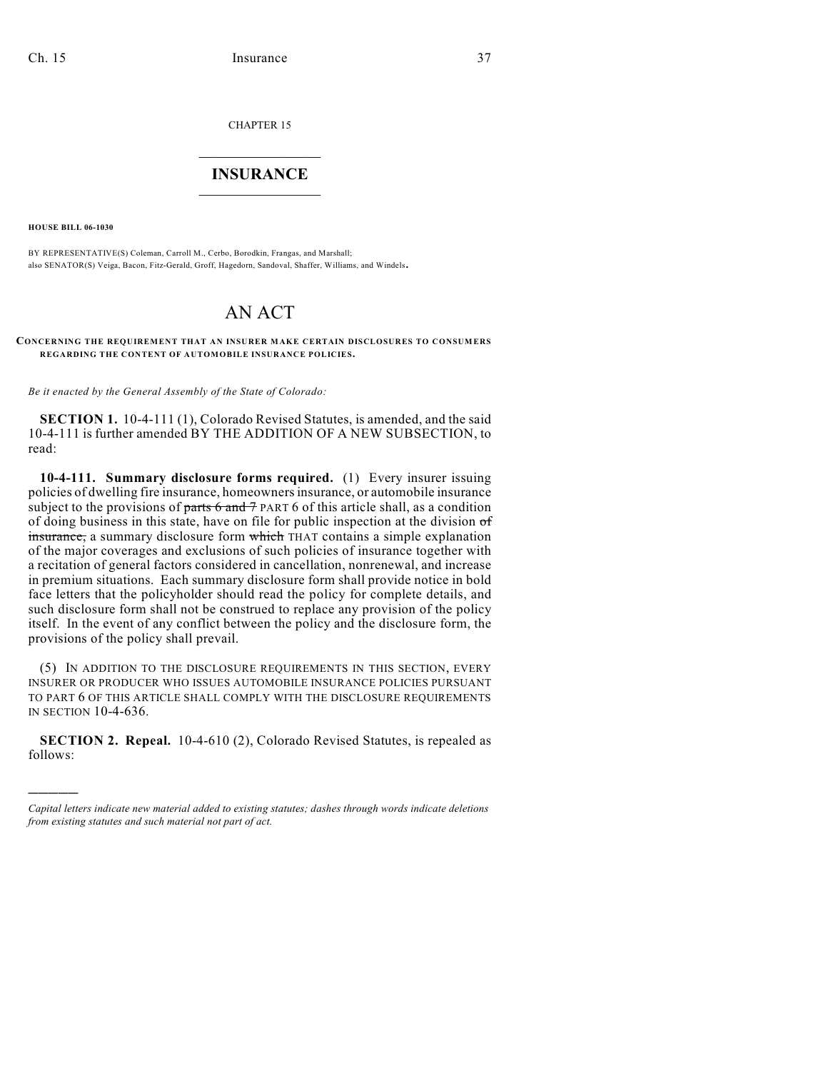CHAPTER 15

## $\mathcal{L}_\text{max}$  . The set of the set of the set of the set of the set of the set of the set of the set of the set of the set of the set of the set of the set of the set of the set of the set of the set of the set of the set **INSURANCE**  $\frac{1}{2}$  ,  $\frac{1}{2}$  ,  $\frac{1}{2}$  ,  $\frac{1}{2}$  ,  $\frac{1}{2}$  ,  $\frac{1}{2}$  ,  $\frac{1}{2}$

**HOUSE BILL 06-1030**

)))))

BY REPRESENTATIVE(S) Coleman, Carroll M., Cerbo, Borodkin, Frangas, and Marshall; also SENATOR(S) Veiga, Bacon, Fitz-Gerald, Groff, Hagedorn, Sandoval, Shaffer, Williams, and Windels.

# AN ACT

#### **CONCERNING THE REQUIREMENT THAT AN INSURER MAKE CERTAIN DISCLOSURES TO CONSUMERS REGARDING THE CONTENT OF AUTOMOBILE INSURANCE POLICIES.**

*Be it enacted by the General Assembly of the State of Colorado:*

**SECTION 1.** 10-4-111 (1), Colorado Revised Statutes, is amended, and the said 10-4-111 is further amended BY THE ADDITION OF A NEW SUBSECTION, to read:

**10-4-111. Summary disclosure forms required.** (1) Every insurer issuing policies of dwelling fire insurance, homeowners insurance, or automobile insurance subject to the provisions of parts  $6$  and  $7$  PART 6 of this article shall, as a condition of doing business in this state, have on file for public inspection at the division  $\sigma f$ insurance, a summary disclosure form which THAT contains a simple explanation of the major coverages and exclusions of such policies of insurance together with a recitation of general factors considered in cancellation, nonrenewal, and increase in premium situations. Each summary disclosure form shall provide notice in bold face letters that the policyholder should read the policy for complete details, and such disclosure form shall not be construed to replace any provision of the policy itself. In the event of any conflict between the policy and the disclosure form, the provisions of the policy shall prevail.

(5) IN ADDITION TO THE DISCLOSURE REQUIREMENTS IN THIS SECTION, EVERY INSURER OR PRODUCER WHO ISSUES AUTOMOBILE INSURANCE POLICIES PURSUANT TO PART 6 OF THIS ARTICLE SHALL COMPLY WITH THE DISCLOSURE REQUIREMENTS IN SECTION 10-4-636.

**SECTION 2. Repeal.** 10-4-610 (2), Colorado Revised Statutes, is repealed as follows:

*Capital letters indicate new material added to existing statutes; dashes through words indicate deletions from existing statutes and such material not part of act.*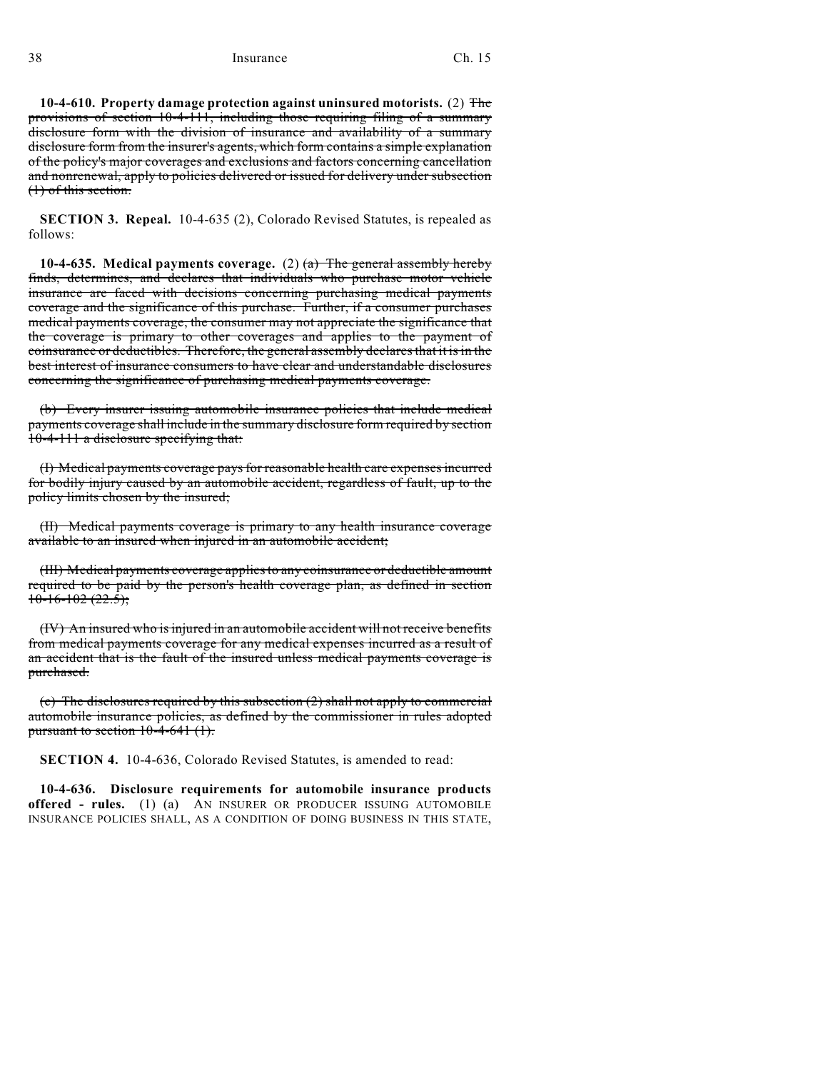**10-4-610. Property damage protection against uninsured motorists.** (2) The provisions of section 10-4-111, including those requiring filing of a summary disclosure form with the division of insurance and availability of a summary disclosure form from the insurer's agents, which form contains a simple explanation of the policy's major coverages and exclusions and factors concerning cancellation and nonrenewal, apply to policies delivered or issued for delivery under subsection (1) of this section.

**SECTION 3. Repeal.** 10-4-635 (2), Colorado Revised Statutes, is repealed as follows:

**10-4-635. Medical payments coverage.** (2) (a) The general assembly hereby finds, determines, and declares that individuals who purchase motor vehicle insurance are faced with decisions concerning purchasing medical payments coverage and the significance of this purchase. Further, if a consumer purchases medical payments coverage, the consumer may not appreciate the significance that the coverage is primary to other coverages and applies to the payment of coinsurance or deductibles. Therefore, the general assembly declares that it is in the best interest of insurance consumers to have clear and understandable disclosures concerning the significance of purchasing medical payments coverage.

(b) Every insurer issuing automobile insurance policies that include medical payments coverage shall include in the summary disclosure form required by section 10-4-111 a disclosure specifying that:

(I) Medical payments coverage pays for reasonable health care expenses incurred for bodily injury caused by an automobile accident, regardless of fault, up to the policy limits chosen by the insured;

(II) Medical payments coverage is primary to any health insurance coverage available to an insured when injured in an automobile accident;

(III) Medical payments coverage applies to any coinsurance or deductible amount required to be paid by the person's health coverage plan, as defined in section  $10-16-102(22.5)$ ;

(IV) An insured who is injured in an automobile accident will not receive benefits from medical payments coverage for any medical expenses incurred as a result of an accident that is the fault of the insured unless medical payments coverage is purchased.

(c) The disclosures required by this subsection (2) shall not apply to commercial automobile insurance policies, as defined by the commissioner in rules adopted pursuant to section  $10-4-641$  (1).

**SECTION 4.** 10-4-636, Colorado Revised Statutes, is amended to read:

**10-4-636. Disclosure requirements for automobile insurance products offered - rules.** (1) (a) AN INSURER OR PRODUCER ISSUING AUTOMOBILE INSURANCE POLICIES SHALL, AS A CONDITION OF DOING BUSINESS IN THIS STATE,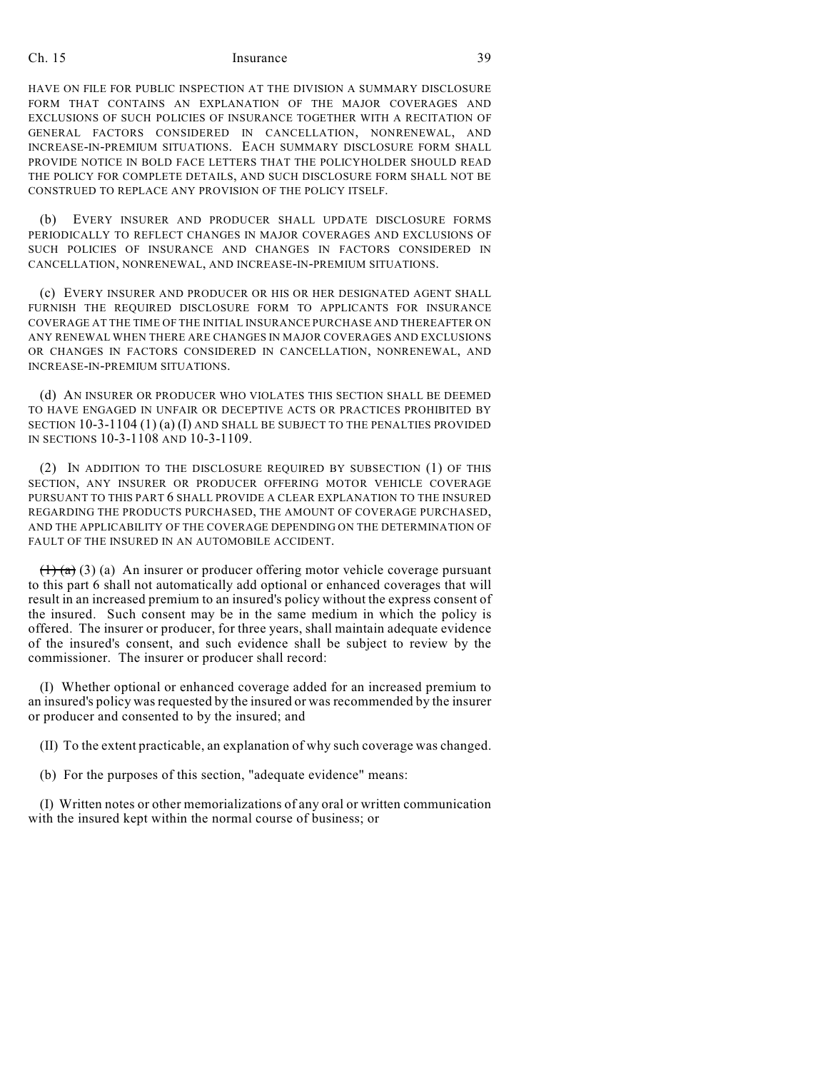### Ch. 15 Insurance 39

HAVE ON FILE FOR PUBLIC INSPECTION AT THE DIVISION A SUMMARY DISCLOSURE FORM THAT CONTAINS AN EXPLANATION OF THE MAJOR COVERAGES AND EXCLUSIONS OF SUCH POLICIES OF INSURANCE TOGETHER WITH A RECITATION OF GENERAL FACTORS CONSIDERED IN CANCELLATION, NONRENEWAL, AND INCREASE-IN-PREMIUM SITUATIONS. EACH SUMMARY DISCLOSURE FORM SHALL PROVIDE NOTICE IN BOLD FACE LETTERS THAT THE POLICYHOLDER SHOULD READ THE POLICY FOR COMPLETE DETAILS, AND SUCH DISCLOSURE FORM SHALL NOT BE CONSTRUED TO REPLACE ANY PROVISION OF THE POLICY ITSELF.

(b) EVERY INSURER AND PRODUCER SHALL UPDATE DISCLOSURE FORMS PERIODICALLY TO REFLECT CHANGES IN MAJOR COVERAGES AND EXCLUSIONS OF SUCH POLICIES OF INSURANCE AND CHANGES IN FACTORS CONSIDERED IN CANCELLATION, NONRENEWAL, AND INCREASE-IN-PREMIUM SITUATIONS.

(c) EVERY INSURER AND PRODUCER OR HIS OR HER DESIGNATED AGENT SHALL FURNISH THE REQUIRED DISCLOSURE FORM TO APPLICANTS FOR INSURANCE COVERAGE AT THE TIME OF THE INITIAL INSURANCE PURCHASE AND THEREAFTER ON ANY RENEWAL WHEN THERE ARE CHANGES IN MAJOR COVERAGES AND EXCLUSIONS OR CHANGES IN FACTORS CONSIDERED IN CANCELLATION, NONRENEWAL, AND INCREASE-IN-PREMIUM SITUATIONS.

(d) AN INSURER OR PRODUCER WHO VIOLATES THIS SECTION SHALL BE DEEMED TO HAVE ENGAGED IN UNFAIR OR DECEPTIVE ACTS OR PRACTICES PROHIBITED BY SECTION 10-3-1104 (1) (a) (I) AND SHALL BE SUBJECT TO THE PENALTIES PROVIDED IN SECTIONS 10-3-1108 AND 10-3-1109.

(2) IN ADDITION TO THE DISCLOSURE REQUIRED BY SUBSECTION (1) OF THIS SECTION, ANY INSURER OR PRODUCER OFFERING MOTOR VEHICLE COVERAGE PURSUANT TO THIS PART 6 SHALL PROVIDE A CLEAR EXPLANATION TO THE INSURED REGARDING THE PRODUCTS PURCHASED, THE AMOUNT OF COVERAGE PURCHASED, AND THE APPLICABILITY OF THE COVERAGE DEPENDING ON THE DETERMINATION OF FAULT OF THE INSURED IN AN AUTOMOBILE ACCIDENT.

 $(1)$  (a) (3) (a) An insurer or producer offering motor vehicle coverage pursuant to this part 6 shall not automatically add optional or enhanced coverages that will result in an increased premium to an insured's policy without the express consent of the insured. Such consent may be in the same medium in which the policy is offered. The insurer or producer, for three years, shall maintain adequate evidence of the insured's consent, and such evidence shall be subject to review by the commissioner. The insurer or producer shall record:

(I) Whether optional or enhanced coverage added for an increased premium to an insured's policy was requested by the insured or was recommended by the insurer or producer and consented to by the insured; and

(II) To the extent practicable, an explanation of why such coverage was changed.

(b) For the purposes of this section, "adequate evidence" means:

(I) Written notes or other memorializations of any oral or written communication with the insured kept within the normal course of business; or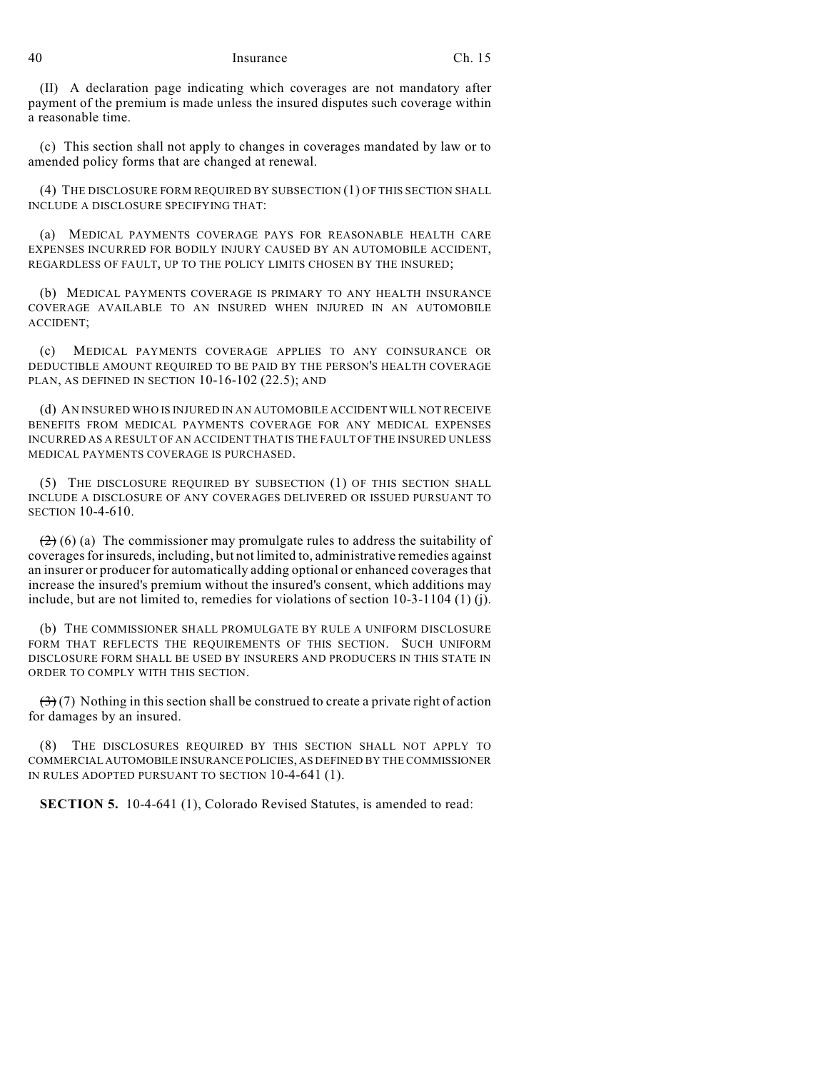#### 40 Insurance Ch. 15

(II) A declaration page indicating which coverages are not mandatory after payment of the premium is made unless the insured disputes such coverage within a reasonable time.

(c) This section shall not apply to changes in coverages mandated by law or to amended policy forms that are changed at renewal.

(4) THE DISCLOSURE FORM REQUIRED BY SUBSECTION (1) OF THIS SECTION SHALL INCLUDE A DISCLOSURE SPECIFYING THAT:

(a) MEDICAL PAYMENTS COVERAGE PAYS FOR REASONABLE HEALTH CARE EXPENSES INCURRED FOR BODILY INJURY CAUSED BY AN AUTOMOBILE ACCIDENT, REGARDLESS OF FAULT, UP TO THE POLICY LIMITS CHOSEN BY THE INSURED;

(b) MEDICAL PAYMENTS COVERAGE IS PRIMARY TO ANY HEALTH INSURANCE COVERAGE AVAILABLE TO AN INSURED WHEN INJURED IN AN AUTOMOBILE ACCIDENT;

(c) MEDICAL PAYMENTS COVERAGE APPLIES TO ANY COINSURANCE OR DEDUCTIBLE AMOUNT REQUIRED TO BE PAID BY THE PERSON'S HEALTH COVERAGE PLAN, AS DEFINED IN SECTION 10-16-102 (22.5); AND

(d) AN INSURED WHO IS INJURED IN AN AUTOMOBILE ACCIDENT WILL NOT RECEIVE BENEFITS FROM MEDICAL PAYMENTS COVERAGE FOR ANY MEDICAL EXPENSES INCURRED AS A RESULT OF AN ACCIDENT THAT IS THE FAULT OF THE INSURED UNLESS MEDICAL PAYMENTS COVERAGE IS PURCHASED.

(5) THE DISCLOSURE REQUIRED BY SUBSECTION (1) OF THIS SECTION SHALL INCLUDE A DISCLOSURE OF ANY COVERAGES DELIVERED OR ISSUED PURSUANT TO SECTION 10-4-610.

 $(2)$  (6) (a) The commissioner may promulgate rules to address the suitability of coverages for insureds, including, but not limited to, administrative remedies against an insurer or producer for automatically adding optional or enhanced coverages that increase the insured's premium without the insured's consent, which additions may include, but are not limited to, remedies for violations of section 10-3-1104 (1) (j).

(b) THE COMMISSIONER SHALL PROMULGATE BY RULE A UNIFORM DISCLOSURE FORM THAT REFLECTS THE REQUIREMENTS OF THIS SECTION. SUCH UNIFORM DISCLOSURE FORM SHALL BE USED BY INSURERS AND PRODUCERS IN THIS STATE IN ORDER TO COMPLY WITH THIS SECTION.

 $(3)(7)$  Nothing in this section shall be construed to create a private right of action for damages by an insured.

THE DISCLOSURES REQUIRED BY THIS SECTION SHALL NOT APPLY TO COMMERCIAL AUTOMOBILE INSURANCE POLICIES, AS DEFINED BY THE COMMISSIONER IN RULES ADOPTED PURSUANT TO SECTION 10-4-641 (1).

**SECTION 5.** 10-4-641 (1), Colorado Revised Statutes, is amended to read: